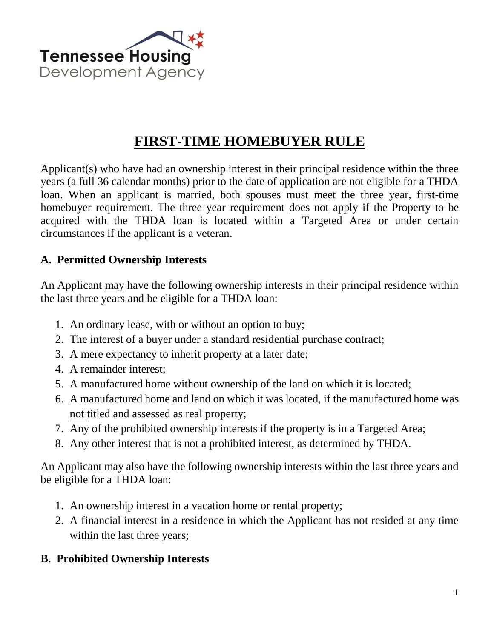

## **FIRST-TIME HOMEBUYER RULE**

Applicant(s) who have had an ownership interest in their principal residence within the three years (a full 36 calendar months) prior to the date of application are not eligible for a THDA loan. When an applicant is married, both spouses must meet the three year, first-time homebuyer requirement. The three year requirement does not apply if the Property to be acquired with the THDA loan is located within a Targeted Area or under certain circumstances if the applicant is a veteran.

## **A. Permitted Ownership Interests**

An Applicant may have the following ownership interests in their principal residence within the last three years and be eligible for a THDA loan:

- 1. An ordinary lease, with or without an option to buy;
- 2. The interest of a buyer under a standard residential purchase contract;
- 3. A mere expectancy to inherit property at a later date;
- 4. A remainder interest;
- 5. A manufactured home without ownership of the land on which it is located;
- 6. A manufactured home and land on which it was located, if the manufactured home was not titled and assessed as real property;
- 7. Any of the prohibited ownership interests if the property is in a Targeted Area;
- 8. Any other interest that is not a prohibited interest, as determined by THDA.

An Applicant may also have the following ownership interests within the last three years and be eligible for a THDA loan:

- 1. An ownership interest in a vacation home or rental property;
- 2. A financial interest in a residence in which the Applicant has not resided at any time within the last three years;

## **B. Prohibited Ownership Interests**